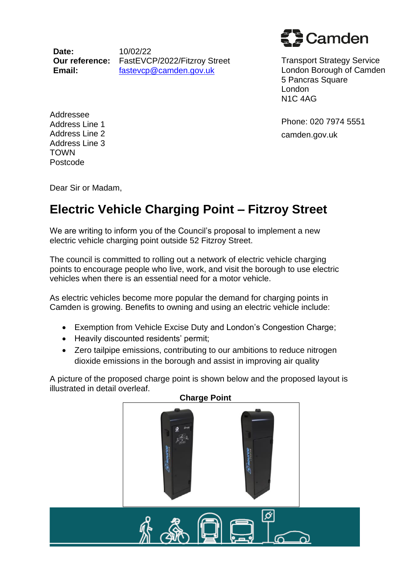**Date: Our reference:** FastEVCP/2022/Fitzroy Street **Email:** 10/02/22 fastevcp@camden.gov.uk

Camden

Transport Strategy Service London Borough of Camden 5 Pancras Square London N1C 4AG

Phone: 020 7974 5551 camden.gov.uk

Addressee Address Line 1 Address Line 2 Address Line 3 TOWN Postcode

Dear Sir or Madam,

## **Electric Vehicle Charging Point – Fitzroy Street**

We are writing to inform you of the Council's proposal to implement a new electric vehicle charging point outside 52 Fitzroy Street.

The council is committed to rolling out a network of electric vehicle charging points to encourage people who live, work, and visit the borough to use electric vehicles when there is an essential need for a motor vehicle.

As electric vehicles become more popular the demand for charging points in Camden is growing. Benefits to owning and using an electric vehicle include:

- Exemption from Vehicle Excise Duty and London's Congestion Charge;
- Heavily discounted residents' permit;
- Zero tailpipe emissions, contributing to our ambitions to reduce nitrogen dioxide emissions in the borough and assist in improving air quality

A picture of the proposed charge point is shown below and the proposed layout is illustrated in detail overleaf.

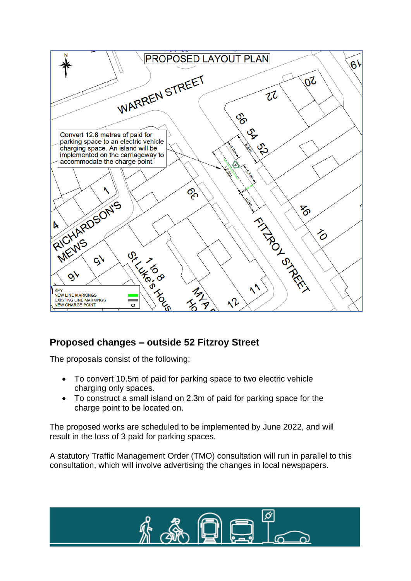

## **Proposed changes – outside 52 Fitzroy Street**

The proposals consist of the following:

- To convert 10.5m of paid for parking space to two electric vehicle charging only spaces.
- To construct a small island on 2.3m of paid for parking space for the charge point to be located on.

The proposed works are scheduled to be implemented by June 2022, and will result in the loss of 3 paid for parking spaces.

A statutory Traffic Management Order (TMO) consultation will run in parallel to this consultation, which will involve advertising the changes in local newspapers.